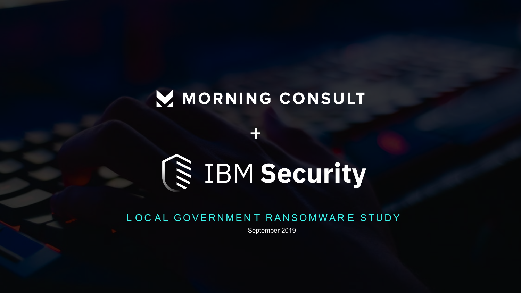# MORNING CONSULT

 $\mathbf +$ 



# L OC AL GOVERNMENT RANSOMWAR E STUDY

September 2019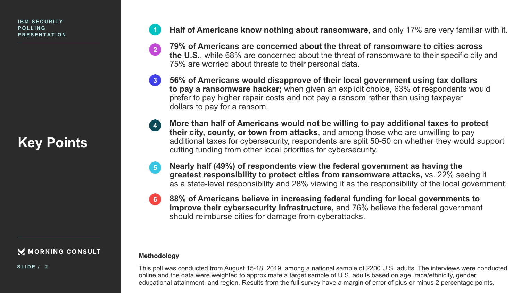# **Key Points**

M MORNING CONSULT

**SLIDE / 2**

**Half of Americans know nothing about ransomware**, and only 17% are very familiar with it.

- **79% of Americans are concerned about the threat of ransomware to cities across**   $\sqrt{2}$ **the U.S.**, while 68% are concerned about the threat of ransomware to their specific city and 75% are worried about threats to their personal data.
- $\begin{array}{|c|} \hline 3 \\ \hline \end{array}$ **56% of Americans would disapprove of their local government using tax dollars to pay a ransomware hacker;** when given an explicit choice, 63% of respondents would prefer to pay higher repair costs and not pay a ransom rather than using taxpayer dollars to pay for a ransom.
	- **More than half of Americans would not be willing to pay additional taxes to protect their city, county, or town from attacks,** and among those who are unwilling to pay additional taxes for cybersecurity, respondents are split 50-50 on whether they would support cutting funding from other local priorities for cybersecurity.
- **Nearly half (49%) of respondents view the federal government as having the**   $5<sup>1</sup>$ **greatest responsibility to protect cities from ransomware attacks,** vs. 22% seeing it as a state-level responsibility and 28% viewing it as the responsibility of the local government.
- **88% of Americans believe in increasing federal funding for local governments to**   $6^{\circ}$ **improve their cybersecurity infrastructure,** and 76% believe the federal government should reimburse cities for damage from cyberattacks.

### **Methodology**

This poll was conducted from August 15-18, 2019, among a national sample of 2200 U.S. adults. The interviews were conducted online and the data were weighted to approximate a target sample of U.S. adults based on age, race/ethnicity, gender, educational attainment, and region. Results from the full survey have a margin of error of plus or minus 2 percentage points.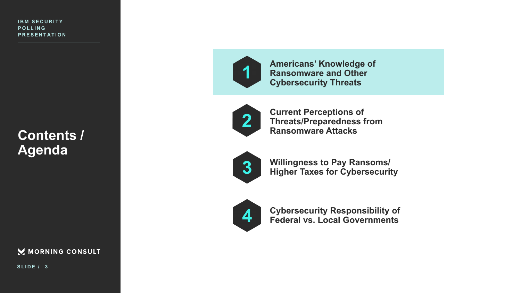**Contents / Agenda**

MORNING CONSULT

**SLIDE / 3**



**Americans' Knowledge of Ransomware and Other Cybersecurity Threats**



**Current Perceptions of Threats/Preparedness from Ransomware Attacks** 



**Willingness to Pay Ransoms/ Higher Taxes for Cybersecurity**



**Cybersecurity Responsibility of Federal vs. Local Governments**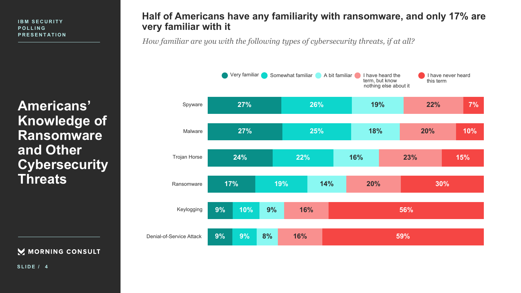**Americans' Knowledge of Ransomware and Other Cybersecurity Threats**

M MORNING CONSULT

**SLIDE / 4**

# **Half of Americans have any familiarity with ransomware, and only 17% are very familiar with it**

*How familiar are you with the following types of cybersecurity threats, if at all?*

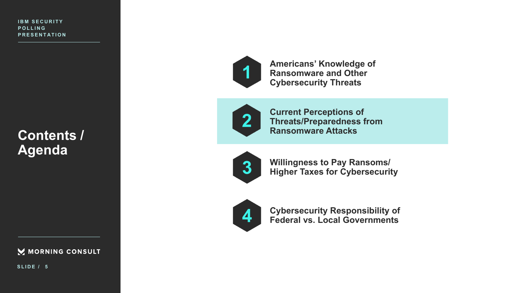**Contents / Agenda**

MORNING CONSULT

**SLIDE / 5**



**Americans' Knowledge of Ransomware and Other Cybersecurity Threats**



**Current Perceptions of Threats/Preparedness from Ransomware Attacks** 



**Willingness to Pay Ransoms/ Higher Taxes for Cybersecurity**



**Cybersecurity Responsibility of Federal vs. Local Governments**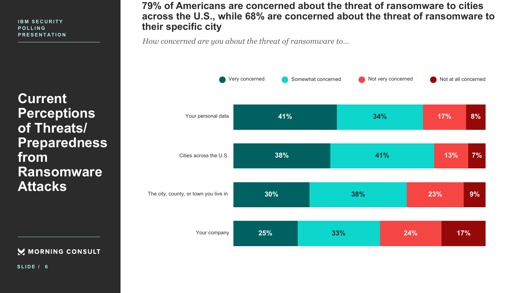**Current Perceptions of Threats/ Preparedness from Ransomware Attacks** 

M MORNING CONSULT

**79% of Americans are concerned about the threat of ransomware to cities across the U.S., while 68% are concerned about the threat of ransomware to their specific city**

*How concerned are you about the threat of ransomware to…*

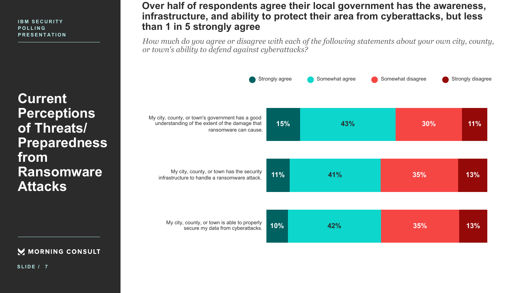**Current Perceptions of Threats/ Preparedness from Ransomware Attacks** 

M MORNING CONSULT

**SLIDE / 7**

## **Over half of respondents agree their local government has the awareness, infrastructure, and ability to protect their area from cyberattacks, but less than 1 in 5 strongly agree**

*How much do you agree or disagree with each of the following statements about your own city, county, or town's ability to defend against cyberattacks?*

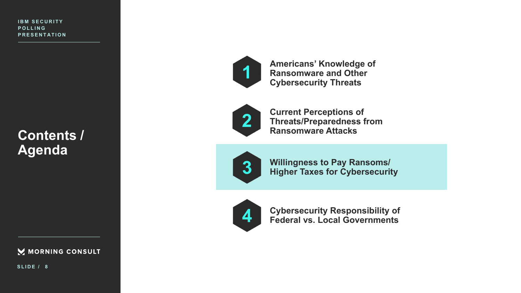**Contents / Agenda**

MORNING CONSULT

**SLIDE / 8**



**Americans' Knowledge of Ransomware and Other Cybersecurity Threats**



**Current Perceptions of Threats/Preparedness from Ransomware Attacks** 



**Willingness to Pay Ransoms/ Higher Taxes for Cybersecurity**



**Cybersecurity Responsibility of Federal vs. Local Governments**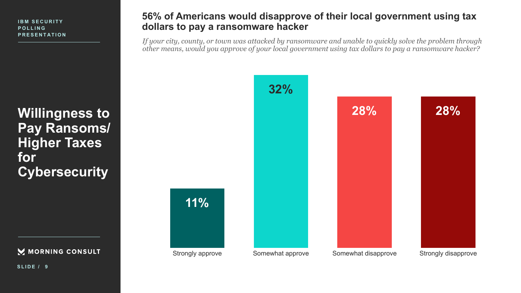**Willingness to Pay Ransoms/ Higher Taxes for Cybersecurity**

MORNING CONSULT

**SLIDE / 9**

### **56% of Americans would disapprove of their local government using tax dollars to pay a ransomware hacker**

*If your city, county, or town was attacked by ransomware and unable to quickly solve the problem through other means, would you approve of your local government using tax dollars to pay a ransomware hacker?*

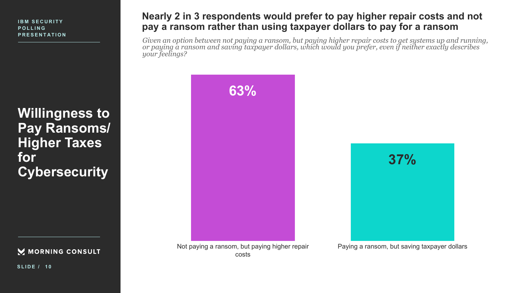**Willingness to Pay Ransoms/ Higher Taxes for Cybersecurity**

M MORNING CONSULT

**Nearly 2 in 3 respondents would prefer to pay higher repair costs and not pay a ransom rather than using taxpayer dollars to pay for a ransom**

*Given an option between not paying a ransom, but paying higher repair costs to get systems up and running, or paying a ransom and saving taxpayer dollars, which would you prefer, even if neither exactly describes your feelings?*



Not paying a ransom, but paying higher repair costs

Paying a ransom, but saving taxpayer dollars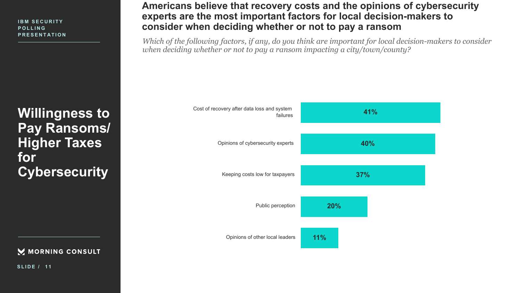**Pay Ransoms/ Higher Taxes for Cybersecurity**

M MORNING CONSULT

**Americans believe that recovery costs and the opinions of cybersecurity experts are the most important factors for local decision-makers to consider when deciding whether or not to pay a ransom**

*Which of the following factors, if any, do you think are important for local decision-makers to consider when deciding whether or not to pay a ransom impacting a city/town/county?*

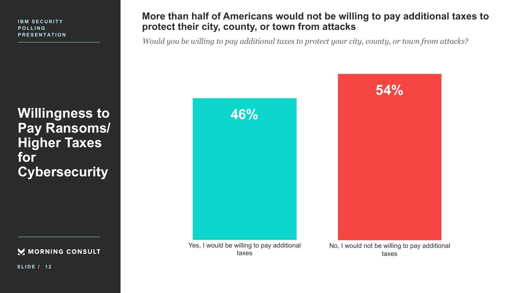**Willingness to Pay Ransoms/ Higher Taxes for Cybersecurity**

MORNING CONSULT

**More than half of Americans would not be willing to pay additional taxes to protect their city, county, or town from attacks**

*Would you be willing to pay additional taxes to protect your city, county, or town from attacks?*

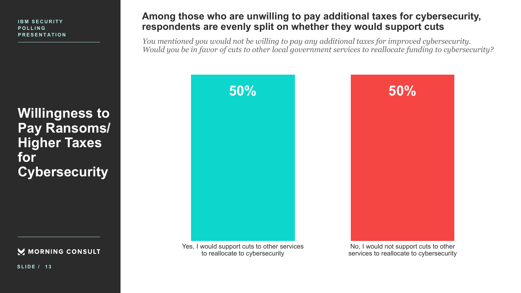**Willingness to Pay Ransoms/ Higher Taxes for Cybersecurity**

M MORNING CONSULT

**SLIDE / 1 3**

# **Among those who are unwilling to pay additional taxes for cybersecurity, respondents are evenly split on whether they would support cuts**

*You mentioned you would not be willing to pay any additional taxes for improved cybersecurity. Would you be in favor of cuts to other local government services to reallocate funding to cybersecurity?*



Yes, I would support cuts to other services to reallocate to cybersecurity

No, I would not support cuts to other services to reallocate to cybersecurity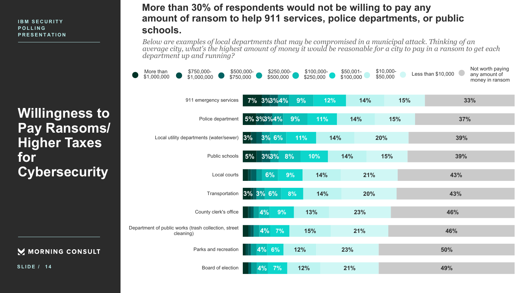**Willingness to Pay Ransoms/ Higher Taxes for Cybersecurity**

#### M MORNING CONSULT

**SLIDE / 1 4**

# **More than 30% of respondents would not be willing to pay any amount of ransom to help 911 services, police departments, or public schools.**

*Below are examples of local departments that may be compromised in a municipal attack. Thinking of an*  average city, what's the highest amount of money it would be reasonable for a city to pay in a ransom to get each *department up and running?*

| More than<br>\$750,000-<br>\$1,000,000<br>\$1,000,000             | \$500,000-<br>\$750,000 | \$250,000-<br>\$500,000 |     | \$100,000-<br>\$250,000 | \$50,001-<br>\$100,000 | \$10,000-<br>\$50,000 | Less than \$10,000 | Not worth paying<br>any amount of<br>money in ransom |
|-------------------------------------------------------------------|-------------------------|-------------------------|-----|-------------------------|------------------------|-----------------------|--------------------|------------------------------------------------------|
| 911 emergency services                                            |                         | 7% 3%3%4%               | 9%  | 12%                     | 14%                    | 15%                   |                    | 33%                                                  |
| Police department                                                 |                         | 5% 3% 3% 4%             | 9%  | 11%                     | 14%                    | 15%                   | 37%                |                                                      |
| Local utility departments (water/sewer)                           | 3%                      | 3% 6%                   | 11% |                         | 14%                    | 20%                   | 39%                |                                                      |
| Public schools                                                    | $5\%$                   | $3\%3\%$                | 8%  | 10%                     | 14%                    | 15%                   | 39%                |                                                      |
| Local courts                                                      |                         | 6%                      | 9%  | 14%                     | 21%                    |                       | 43%                |                                                      |
| Transportation                                                    | 3% 3% 6%                |                         | 8%  | 14%                     | 20%                    |                       | 43%                |                                                      |
| County clerk's office                                             |                         | 4%<br>9%                |     | 13%                     | 23%                    |                       | 46%                |                                                      |
| Department of public works (trash collection, street<br>cleaning) |                         | 4%<br>7%                |     | 15%                     | 21%                    |                       | 46%                |                                                      |
| Parks and recreation                                              |                         | 4% 6%                   | 12% |                         | 23%                    |                       | 50%                |                                                      |
| Board of election                                                 |                         | 4%<br>7%                | 12% |                         | 21%                    |                       | 49%                |                                                      |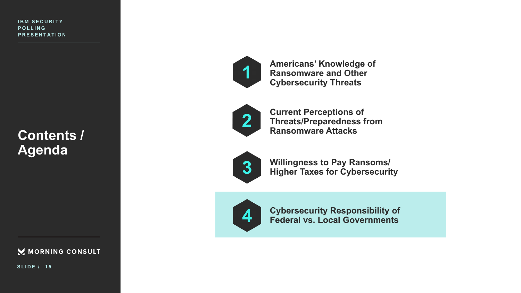**Contents / Agenda**

MORNING CONSULT

**SLIDE / 1 5**



**Americans' Knowledge of Ransomware and Other Cybersecurity Threats**



**Current Perceptions of Threats/Preparedness from Ransomware Attacks** 



**Willingness to Pay Ransoms/ Higher Taxes for Cybersecurity**



**Cybersecurity Responsibility of Federal vs. Local Governments**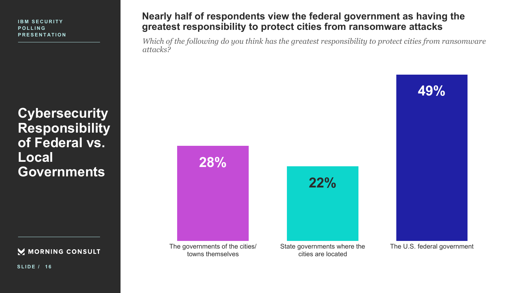**Cybersecurity Responsibility of Federal vs. Local Governments**

M MORNING CONSULT

**SLIDE / 1 6**

# **Nearly half of respondents view the federal government as having the greatest responsibility to protect cities from ransomware attacks**

*Which of the following do you think has the greatest responsibility to protect cities from ransomware attacks?*

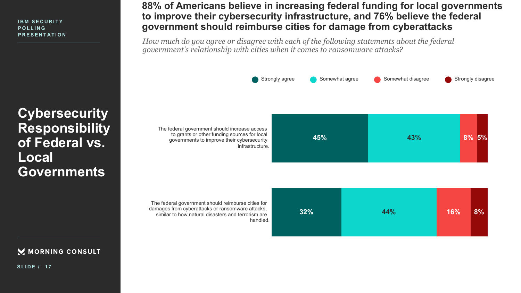**Cybersecurity Responsibility of Federal vs. Local Governments**

M MORNING CONSULT

**SLIDE / 1 7**

# **88% of Americans believe in increasing federal funding for local governments to improve their cybersecurity infrastructure, and 76% believe the federal government should reimburse cities for damage from cyberattacks**

*How much do you agree or disagree with each of the following statements about the federal government's relationship with cities when it comes to ransomware attacks?*



The federal government should reimburse cities for damages from cyberattacks or ransomware attacks, similar to how natural disasters and terrorism are handled.

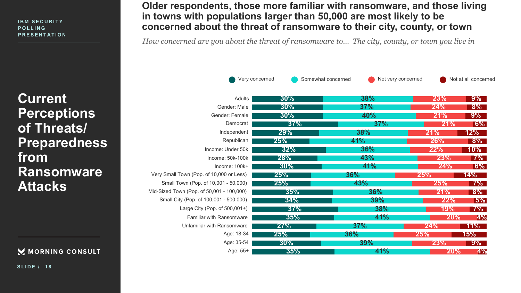**Current Perceptions of Threats/ Preparedness from Ransomware Attacks** 

M MORNING CONSULT

**Older respondents, those more familiar with ransomware, and those living in towns with populations larger than 50,000 are most likely to be concerned about the threat of ransomware to their city, county, or town**

*How concerned are you about the threat of ransomware to… The city, county, or town you live in*

|                                           | Very concerned | Somewhat concerned | Not very concerned |            | Not at all concerned |
|-------------------------------------------|----------------|--------------------|--------------------|------------|----------------------|
| Adults                                    | $30\%$         | <b>38%</b>         |                    | <b>23%</b> | $9\%$                |
| Gender: Male                              | $30\%$         | 37%                |                    | 24%        | $8\%$                |
| Gender: Female                            | $30\%$         | 40%                |                    | 21%        | $9\%$                |
| Democrat                                  | 37%            | 37%                |                    | 21%        | $ 6\% $              |
| Independent                               | 29%            | <b>38%</b>         | 21%                |            | $12\%$               |
| Republican                                | 25%            | 41%                |                    | <b>26%</b> | $8\%$                |
| Income: Under 50k                         | 32%            | 36%                |                    | 22%        | $10\%$               |
| Income: 50k-100k                          | <b>28%</b>     | 43%                |                    | <b>23%</b> | $ 7\% $              |
| Income: $100k+$                           | $30\%$         | 41%                |                    | 24%        | $ 6\% $              |
| Very Small Town (Pop. of 10,000 or Less)  | 25%            | 36%                | 25%                |            | 14%                  |
| Small Town (Pop. of 10,001 - 50,000)      | 25%            | 43%                |                    | 25%        | $7\%$                |
| Mid-Sized Town (Pop. of 50,001 - 100,000) | 35%            | <b>36%</b>         |                    | 21%        | $8\%$                |
| Small City (Pop. of 100,001 - 500,000)    | 34%            | 39%                |                    | 22%        | $ 5\% $              |
| Large City (Pop. of 500,001+)             | 37%            | 38%                |                    | <b>19%</b> | $7\%$                |
| Familiar with Ransomware                  | 35%            | <b>41%</b>         |                    | 20%        | 4%                   |
| Unfamiliar with Ransomware                | 27%            | 37%                | 24%                |            | $11\%$               |
| Age: 18-34                                | 25%            | 36%                | 25%                |            | 15%                  |
| Age: 35-54                                | $30\%$         | 39%                |                    | 23%        | $9\%$                |
| Age: 55+                                  | 35%            | 41%                |                    | <b>20%</b> | 4%                   |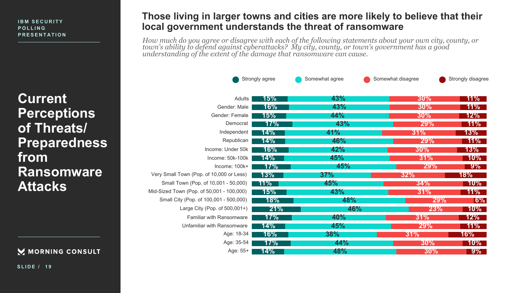**Current Perceptions of Threats/ Preparedness from Ransomware Attacks** 

### M MORNING CONSULT

### **Those living in larger towns and cities are more likely to believe that their local government understands the threat of ransomware**

*How much do you agree or disagree with each of the following statements about your own city, county, or town's ability to defend against cyberattacks? My city, county, or town's government has a good understanding of the extent of the damage that ransomware can cause.*

|                                           | Strongly agree | Somewhat agree | Somewhat disagree | Strongly disagree |
|-------------------------------------------|----------------|----------------|-------------------|-------------------|
| Adults                                    | 15%            | 43%            | $30\%$            | $11\%$            |
| Gender: Male                              | 16%            | 43%            | $30\%$            | 11% <b>1</b>      |
| Gender: Female                            | 15%            | 44%            | $30\%$            | $12\%$            |
| Democrat                                  | 17%            | 43%            | <b>29%</b>        | $11\%$            |
| Independent                               | 14%            | 41%            | 31%               | $13\%$            |
| Republican                                | 14%            | 46%            | 29%               | $11\%$            |
| Income: Under 50k                         | 16%            | 42%            | $30\%$            | $13\%$            |
| Income: 50k-100k                          | 14%            | 45%            | 31%               | $10\%$            |
| Income: 100k+                             | 17%            | 45%            | <b>29%</b>        | $9\%$             |
| Very Small Town (Pop. of 10,000 or Less)  | 13%            | 37%            | 32%               | 18%               |
| Small Town (Pop. of 10,001 - 50,000)      | 11%            | 45%            | 34%               | $10\%$            |
| Mid-Sized Town (Pop. of 50,001 - 100,000) | 15%            | 43%            | 31%               | $11\%$            |
| Small City (Pop. of 100,001 - 500,000)    | 18%            | 48%            | <b>29%</b>        | $ 6\% $           |
| Large City (Pop. of $500,001+$ )          | 21%            | 46%            | 23%               | $10\%$            |
| <b>Familiar with Ransomware</b>           | $17\%$         | 40%            | 31%               | $12\%$            |
| Unfamiliar with Ransomware                | 14%            | 45%            | <b>29%</b>        | $11\%$            |
| Age: 18-34                                | 16%            | 38%            | 31%               | 16%               |
| Age: 35-54                                | $17\%$         | 44%            | $30\%$            | $10\%$            |
| Age: 55+                                  | 14%            | 48%            | 30%               | $9\%$             |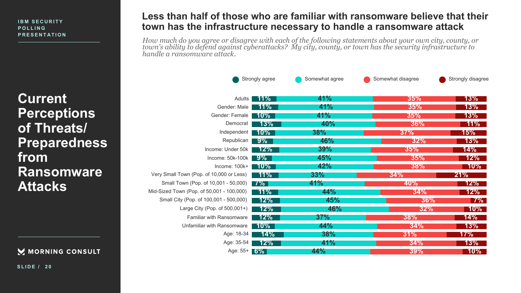**Current Perceptions of Threats/ Preparedness from Ransomware Attacks** 

#### M MORNING CONSULT

**SLIDE / 2 0**

### **Less than half of those who are familiar with ransomware believe that their town has the infrastructure necessary to handle a ransomware attack**

*How much do you agree or disagree with each of the following statements about your own city, county, or town's ability to defend against cyberattacks? My city, county, or town has the security infrastructure to handle a ransomware attack.*

|                                           | Strongly agree | Somewhat agree | Somewhat disagree | Strongly disagree |
|-------------------------------------------|----------------|----------------|-------------------|-------------------|
| Adults                                    | $11\%$         | 41%            | 35%               | $13\%$            |
| Gender: Male                              | $11\%$         | 41%            | 35%               | $13\%$            |
| Gender: Female                            | $10\%$         | 41%            | 35%               | 13%               |
| Democrat                                  | 13%            | 40%            | 36%               | $11\%$            |
| Independent                               | $10\%$         | 38%            | 37%               | 15%               |
| Republican                                | $9\%$          | 46%            | 32%               | $13\%$            |
| Income: Under 50k                         | 12%            | 39%            | 35%               | $14\%$            |
| Income: 50k-100k                          | $9\%$          | 45%            | 35%               | $12\%$            |
| Income: 100k+                             | 10%            | 42%            | 38%               | $10\%$            |
| Very Small Town (Pop. of 10,000 or Less)  | $11\%$         | 33%            | 34%               | 21%               |
| Small Town (Pop. of 10,001 - 50,000)      | 7%             | <b>41%</b>     | 40%               | $12\%$            |
| Mid-Sized Town (Pop. of 50,001 - 100,000) | $11\%$         | 44%            | 34%               | $12\%$            |
| Small City (Pop. of 100,001 - 500,000)    | 12%            | 45%            | 36%               | $ 7\% $           |
| Large City (Pop. of 500,001+)             | 12%            | 46%            | 32%               | $10\%$            |
| <b>Familiar with Ransomware</b>           | 12%            | 37%            | 38%               | 14%               |
| Unfamiliar with Ransomware                | $10\%$         | 44%            | 34%               | 13%               |
| Age: 18-34                                | 14%            | 38%            | 31%               | 17%               |
| Age: 35-54                                | 12%            | 41%            | 34%               | $13\%$            |
| Age: $55 + 6\%$                           |                | 44%            | 39%               | $10\%$            |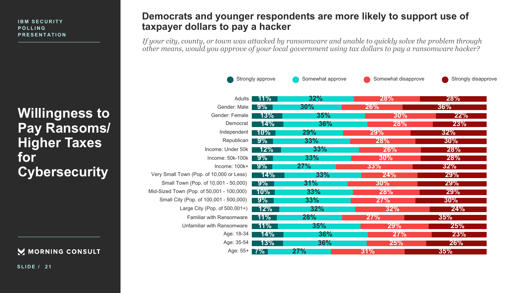**Willingness to Pay Ransoms/ Higher Taxes for Cybersecurity**

MORNING CONSULT

### **Democrats and younger respondents are more likely to support use of taxpayer dollars to pay a hacker**

*If your city, county, or town was attacked by ransomware and unable to quickly solve the problem through other means, would you approve of your local government using tax dollars to pay a ransomware hacker?*

|                                           | Strongly approve | Somewhat approve | Somewhat disapprove | Strongly disapprove |
|-------------------------------------------|------------------|------------------|---------------------|---------------------|
| Adults                                    | $11\%$           | 32%              | 28%                 | <b>28%</b>          |
| Gender: Male                              | $9\%$            | $30\%$           | 26%                 | 36%                 |
| Gender: Female                            | 13%              | 35%              | 30%                 | 22%                 |
| Democrat                                  | 14%              | 36%              | <b>28%</b>          | 23%                 |
| Independent                               | $10\%$           | <b>29%</b>       | <b>29%</b>          | 32%                 |
| Republican                                | $9\%$            | 33%              | 28%                 | $30\%$              |
| Income: Under 50k                         | 12%              | 33%              | <b>26%</b>          | <b>28%</b>          |
| Income: 50k-100k                          | $9\%$            | 33%              | 30%                 | <b>28%</b>          |
| Income: 100k+                             | $9\%$            | 27%              | 33%                 | 32%                 |
| Very Small Town (Pop. of 10,000 or Less)  | 14%              | 33%              | 24%                 | <b>29%</b>          |
| Small Town (Pop. of 10,001 - 50,000)      | $9\%$            | 31%              | $30\%$              | 29%                 |
| Mid-Sized Town (Pop. of 50,001 - 100,000) | $10\%$           | 33%              | <b>28%</b>          | <b>29%</b>          |
| Small City (Pop. of 100,001 - 500,000)    | $9\%$            | 33%              | 27%                 | $30\%$              |
| Large City (Pop. of 500,001+)             | $12\%$           | 32%              | 32%                 | 24%                 |
| Familiar with Ransomware                  | $11\%$           | <b>28%</b>       | 27%                 | 35%                 |
| Unfamiliar with Ransomware                | $11\%$           | 35%              | 29%                 | 25%                 |
| Age: 18-34                                | 14%              | 36%              | 27%                 | 23%                 |
| Age: 35-54                                | 13%              | 36%              | 25%                 | <b>26%</b>          |
| Age: 55+                                  | <b>7%</b>        | 27%              | 31%                 | 35%                 |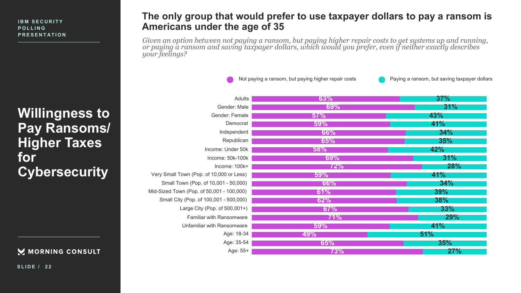**Willingness to Pay Ransoms/ Higher Taxes for Cybersecurity**

### M MORNING CONSULT

**SLIDE / 2 2**

### **The only group that would prefer to use taxpayer dollars to pay a ransom is Americans under the age of 35**

*Given an option between not paying a ransom, but paying higher repair costs to get systems up and running, or paying a ransom and saving taxpayer dollars, which would you prefer, even if neither exactly describes your feelings?*

Not paying a ransom, but paying higher repair costs Paying a ransom, but saving taxpayer dollars

| Adults                                    | 63%        | 37%        |
|-------------------------------------------|------------|------------|
| Gender: Male                              | 69%        | 31%        |
| Gender: Female                            | 57%        | 43%        |
| Democrat                                  | 59%        | 41%        |
| Independent                               | 66%        | 34%        |
| Republican                                | 65%        | 35%        |
| Income: Under 50k                         | 58%        | 42%        |
| Income: 50k-100k                          | <b>69%</b> | 31%        |
| Income: 100k+                             | 72%        | <b>28%</b> |
| Very Small Town (Pop. of 10,000 or Less)  | 59%        | 41%        |
| Small Town (Pop. of 10,001 - 50,000)      | <b>66%</b> | 34%        |
| Mid-Sized Town (Pop. of 50,001 - 100,000) | 61%        | 39%        |
| Small City (Pop. of 100,001 - 500,000)    | 62%        | 38%        |
| Large City (Pop. of 500,001+)             | 67%        | 33%        |
| Familiar with Ransomware                  | <b>71%</b> | <b>29%</b> |
| Unfamiliar with Ransomware                | <b>59%</b> | <b>41%</b> |
| Age: 18-34                                | <b>49%</b> | 51%        |
| Age: 35-54                                | 65%        | 35%        |
| Age: 55+                                  | 73%        | 27%        |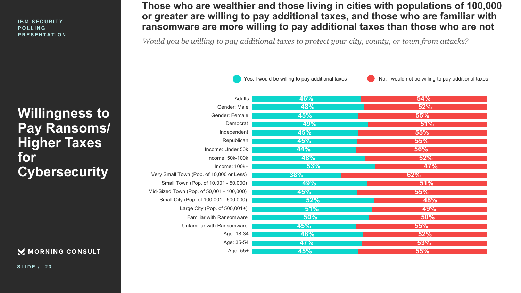**Willingness to Pay Ransoms/ Higher Taxes for Cybersecurity**

> Small Mid-Sized

### M MORNING CONSULT

**SLIDE / 2 3**

# **Those who are wealthier and those living in cities with populations of 100,000 or greater are willing to pay additional taxes, and those who are familiar with ransomware are more willing to pay additional taxes than those who are not**

*Would you be willing to pay additional taxes to protect your city, county, or town from attacks?*

Yes, I would be willing to pay additional taxes  $\bigcirc$  No, I would not be willing to pay additional taxes

| Adults                                    | <b>46%</b> | 54%        |
|-------------------------------------------|------------|------------|
| Gender: Male                              | <b>48%</b> | 52%        |
| Gender: Female                            | <b>45%</b> | 55%        |
| Democrat                                  | 49%        | 51%        |
| Independent                               | 45%        | 55%        |
| Republican                                | 45%        | 55%        |
| Income: Under 50k                         | <b>44%</b> | 56%        |
| Income: 50k-100k                          | <b>48%</b> | 52%        |
| Income: 100k+                             | 53%        | <b>47%</b> |
| Very Small Town (Pop. of 10,000 or Less)  | 38%        | 62%        |
| Small Town (Pop. of 10,001 - 50,000)      | 49%        | 51%        |
| Aid-Sized Town (Pop. of 50,001 - 100,000) | <b>45%</b> | 55%        |
| Small City (Pop. of 100,001 - 500,000)    | 52%        | 48%        |
| Large City (Pop. of 500,001+)             | 51%        | 49%        |
| Familiar with Ransomware                  | 50%        | 50%        |
| Unfamiliar with Ransomware                | <b>45%</b> | 55%        |
| Age: 18-34                                | <b>48%</b> | 52%        |
| Age: 35-54                                | <b>47%</b> | 53%        |
| Age: 55+                                  | <b>45%</b> | 55%        |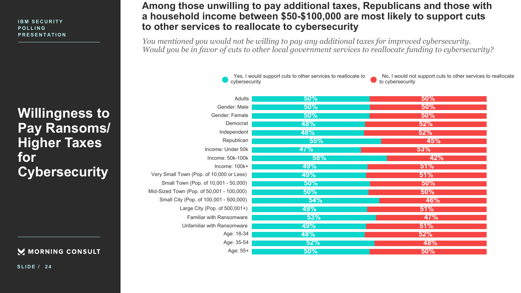**Willingness to Pay Ransoms/ Higher Taxes for Cybersecurity**

> Small Mid-Sized <sup>-</sup>

### M MORNING CONSULT

**SLIDE / 2 4**

# **Among those unwilling to pay additional taxes, Republicans and those with a household income between \$50-\$100,000 are most likely to support cuts to other services to reallocate to cybersecurity**

*You mentioned you would not be willing to pay any additional taxes for improved cybersecurity. Would you be in favor of cuts to other local government services to reallocate funding to cybersecurity?*

> Yes, I would support cuts to other services to reallocate to cybersecurity

No, I would not support cuts to other services to reallocate to cybersecurity

| Adults                                    | 50%        | 50%        |
|-------------------------------------------|------------|------------|
| Gender: Male                              | 50%        | 50%        |
| Gender: Female                            | 50%        | 50%        |
| Democrat                                  | <b>48%</b> | 52%        |
| Independent                               | <b>48%</b> | 52%        |
| Republican                                | 55%        | 45%        |
| Income: Under 50k                         | 47%        | 53%        |
| Income: 50k-100k                          | 58%        | 42%        |
| Income: 100k+                             | 49%        | 51%        |
| Very Small Town (Pop. of 10,000 or Less)  | <b>49%</b> | 51%        |
| Small Town (Pop. of 10,001 - 50,000)      | $50\%$     | 50%        |
| Aid-Sized Town (Pop. of 50,001 - 100,000) | $50\%$     | 50%        |
| Small City (Pop. of 100,001 - 500,000)    | 54%        | <b>46%</b> |
| Large City (Pop. of 500,001+)             | <b>49%</b> | 51%        |
| Familiar with Ransomware                  | 53%        | 47%        |
| Unfamiliar with Ransomware                | <b>49%</b> | 51%        |
| Age: 18-34                                | <b>48%</b> | 52%        |
| Age: 35-54                                | 52%        | 48%        |
| Age: 55+                                  | 50%        | 50%        |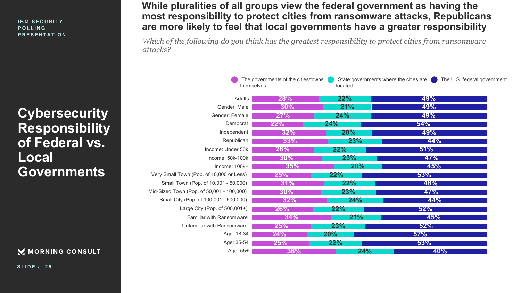**Cybersecurity Responsibility of Federal vs. Local Governments**

### M MORNING CONSULT

**SLIDE / 2 5**

# **While pluralities of all groups view the federal government as having the most responsibility to protect cities from ransomware attacks, Republicans are more likely to feel that local governments have a greater responsibility**

*Which of the following do you think has the greatest responsibility to protect cities from ransomware attacks?*

| themselves                                | The governments of the cities/towns | State governments where the cities are<br>located | The U.S. federal government |  |
|-------------------------------------------|-------------------------------------|---------------------------------------------------|-----------------------------|--|
| Adults                                    | <b>28%</b>                          | 22%                                               | 49%                         |  |
| Gender: Male                              | $30\%$                              | 21%                                               | 49%                         |  |
| Gender: Female                            | 27%                                 | 24%                                               | 49%                         |  |
| Democrat                                  | 22%                                 | 24%                                               | 54%                         |  |
| Independent                               | 32%                                 | 20%                                               | 49%                         |  |
| Republican                                | 33%                                 | 23%                                               | 44%                         |  |
| Income: Under 50k                         | 26%                                 | 22%                                               | 51%                         |  |
| Income: 50k-100k                          | 30%                                 | <b>23%</b>                                        | 47%                         |  |
| Income: 100k+                             | 35%                                 | 20%                                               | 45%                         |  |
| Very Small Town (Pop. of 10,000 or Less)  | 25%                                 | 22%                                               | 53%                         |  |
| Small Town (Pop. of 10,001 - 50,000)      | 31%                                 | 22%                                               | <b>48%</b>                  |  |
| Mid-Sized Town (Pop. of 50,001 - 100,000) | $30\%$                              | <b>23%</b>                                        | 47%                         |  |
| Small City (Pop. of 100,001 - 500,000)    | 32%                                 | 24%                                               | <b>44%</b>                  |  |
| Large City (Pop. of 500,001+)             | 26%                                 | 22%                                               | 52%                         |  |
| Familiar with Ransomware                  | 34%                                 | 21%                                               | 45%                         |  |
| Unfamiliar with Ransomware                | 25%                                 | <b>23%</b>                                        | 52%                         |  |
| Age: 18-34                                | 24%                                 | $20\%$                                            | 57%                         |  |
| Age: 35-54                                | 25%                                 | 22%                                               | 53%                         |  |
| Age: 55+                                  | 36%                                 | 24%                                               | <b>40%</b>                  |  |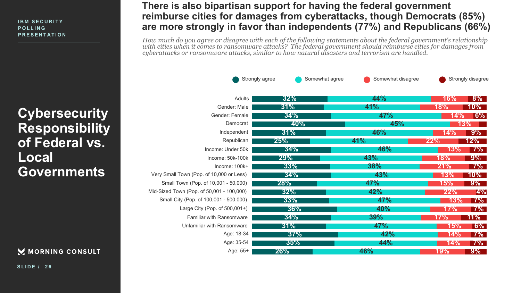**Cybersecurity Responsibility of Federal vs. Local Governments**

> Small Mid-Sized

### M MORNING CONSULT

**SLIDE / 2 6**

# **There is also bipartisan support for having the federal government reimburse cities for damages from cyberattacks, though Democrats (85%) are more strongly in favor than independents (77%) and Republicans (66%)**

*How much do you agree or disagree with each of the following statements about the federal government's relationship with cities when it comes to ransomware attacks? The federal government should reimburse cities for damages from cyberattacks or ransomware attacks, similar to how natural disasters and terrorism are handled.*

| Strongly agree                            |            | Somewhat agree<br>Somewhat disagree | Strongly disagree |           |
|-------------------------------------------|------------|-------------------------------------|-------------------|-----------|
| Adults                                    | 32%        | 44%                                 | 16%               | $8\%$     |
| Gender: Male                              | 31%        | 41%                                 | 18%               | $10\%$    |
| Gender: Female                            | 34%        | <b>47%</b>                          | 14%               | $ 6\% $   |
| Democrat                                  | <b>40%</b> | 45%                                 | 13%               |           |
| Independent                               | 31%        | 46%                                 | 14%               | $9\%$     |
| Republican                                | 25%        | 41%                                 | 22%               | $12\%$    |
| Income: Under 50k                         | 34%        | 46%                                 | 13%               | $7\%$     |
| Income: 50k-100k                          | <b>29%</b> | 43%                                 | 18%               | $9\%$     |
| $Income: 100k+$                           | 33%        | <b>38%</b>                          | 21%               | $7\%$     |
| Very Small Town (Pop. of 10,000 or Less)  | 34%        | 43%                                 | 13%               | $10\%$    |
| Small Town (Pop. of 10,001 - 50,000)      | 28%        | 47%                                 | 15%               | $9\%$     |
| Aid-Sized Town (Pop. of 50,001 - 100,000) | 32%        | 42%                                 | 22%               | 4%        |
| Small City (Pop. of 100,001 - 500,000)    | 33%        | <b>47%</b>                          | 13%               | <b>7%</b> |
| Large City (Pop. of 500,001+)             | 36%        | 40%                                 | 17%               | $ 7\% $   |
| <b>Familiar with Ransomware</b>           | 34%        | 39%                                 | 17%               | 11%       |
| Unfamiliar with Ransomware                | 31%        | <b>47%</b>                          | 15%               | 6%        |
| Age: 18-34                                | 37%        | 42%                                 | 14%               | $7\%$     |
| Age: 35-54                                | 35%        | 44%                                 | 14%               | $7\%$     |
| Age: 55+                                  | 26%        | 46%                                 | <b>19%</b>        | $9\%$     |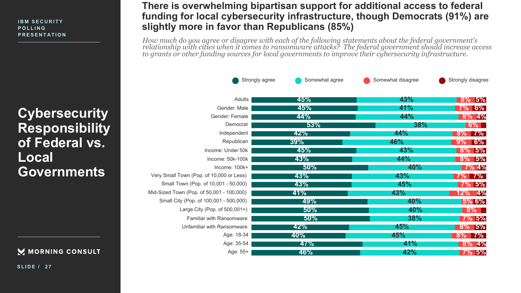**Cybersecurity Responsibility of Federal vs. Local Governments**

Mid-Sized

### M MORNING CONSULT

**SLIDE / 2 7**

# **There is overwhelming bipartisan support for additional access to federal funding for local cybersecurity infrastructure, though Democrats (91%) are slightly more in favor than Republicans (85%)**

*How much do you agree or disagree with each of the following statements about the federal government's relationship with cities when it comes to ransomware attacks? The federal government should increase access to grants or other funding sources for local governments to improve their cybersecurity infrastructure.*

| Strongly agree                            | Somewhat agree | Somewhat disagree | Strongly disagree |
|-------------------------------------------|----------------|-------------------|-------------------|
| Adults                                    | 45%            | 43%               | $8\%$ 5%          |
| Gender: Male                              | 45%            | 41%               | <b>7% 6%</b>      |
| Gender: Female                            | 44%            | 44%               | $8\%$ 4%          |
| Democrat                                  | 53%            | <b>38%</b>        | $6\%$             |
| Independent                               | 42%            | 44%               | $8\%$ 7%          |
| Republican                                | 39%            | <b>46%</b>        | $ 6\% $<br>$9\%$  |
| Income: Under 50k                         | 45%            | 43%               | $8\%$ 5%          |
| Income: 50k-100k                          | 43%            | 44%               | 5%<br>$8\%$       |
| Income: 100k+                             | 50%            | <b>40%</b>        | 7% 4%             |
| Very Small Town (Pop. of 10,000 or Less)  | 43%            | 43%               | <b>7% 7%</b>      |
| Small Town (Pop. of 10,001 - 50,000)      | 43%            | 45%               | $7\%$ 5%          |
| Aid-Sized Town (Pop. of 50,001 - 100,000) | $ 41\% $       | 43%               | 12%<br>4%         |
| Small City (Pop. of 100,001 - 500,000)    | 49%            | <b>40%</b>        | $ 5\% 6\%$        |
| Large City (Pop. of 500,001+)             | 50%            | 40%               | $8\%$             |
| Familiar with Ransomware                  | 50%            | 38%               | $7\%$ 5%          |
| Unfamiliar with Ransomware                | 42%            | 45%               | $8\%$ 5%          |
| Age: 18-34                                | <b>40%</b>     | 45%               | $8\%$ 7%          |
| Age: 35-54                                | 47%            | 41%               | $8\%$ 4%          |
| Age: 55+                                  | 46%            | 42%               | $7\%$ 5%          |